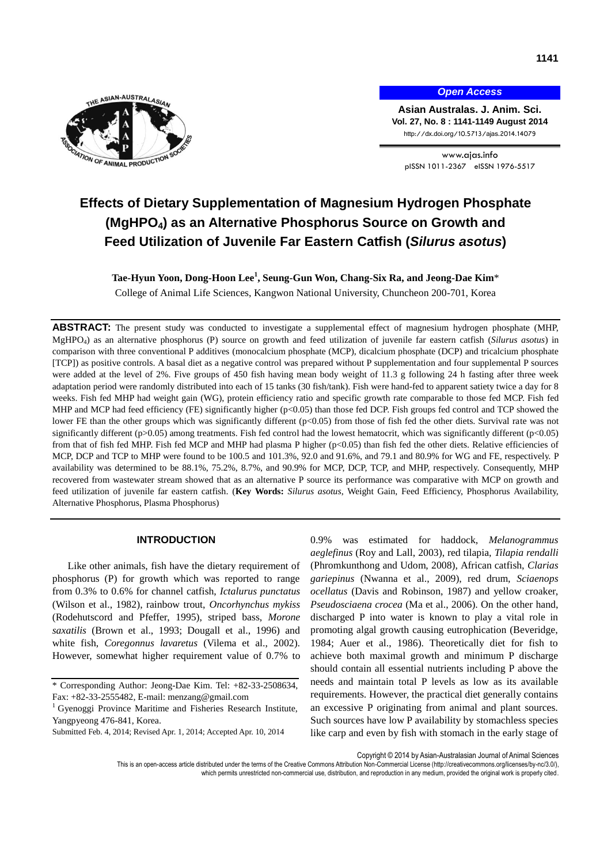

*Open Access*

**Asian Australas. J. Anim. Sci. Vol. 27, No. 8 : 1141-1149 August 2014** http://dx.doi.org/10.5713/ajas.2014.14079

www.ajas.info pISSN 1011-2367 eISSN 1976-5517

# **Effects of Dietary Supplementation of Magnesium Hydrogen Phosphate (MgHPO4) as an Alternative Phosphorus Source on Growth and Feed Utilization of Juvenile Far Eastern Catfish (***Silurus asotus***)**

**Tae-Hyun Yoon, Dong-Hoon Lee<sup>1</sup> , Seung-Gun Won, Chang-Six Ra, and Jeong-Dae Kim**\* College of Animal Life Sciences, Kangwon National University, Chuncheon 200-701, Korea

**ABSTRACT:** The present study was conducted to investigate a supplemental effect of magnesium hydrogen phosphate (MHP, MgHPO<sup>4</sup> ) as an alternative phosphorus (P) source on growth and feed utilization of juvenile far eastern catfish (*Silurus asotus*) in comparison with three conventional P additives (monocalcium phosphate (MCP), dicalcium phosphate (DCP) and tricalcium phosphate [TCP]) as positive controls. A basal diet as a negative control was prepared without P supplementation and four supplemental P sources were added at the level of 2%. Five groups of 450 fish having mean body weight of 11.3 g following 24 h fasting after three week adaptation period were randomly distributed into each of 15 tanks (30 fish/tank). Fish were hand-fed to apparent satiety twice a day for 8 weeks. Fish fed MHP had weight gain (WG), protein efficiency ratio and specific growth rate comparable to those fed MCP. Fish fed MHP and MCP had feed efficiency (FE) significantly higher (p<0.05) than those fed DCP. Fish groups fed control and TCP showed the lower FE than the other groups which was significantly different (p<0.05) from those of fish fed the other diets. Survival rate was not significantly different (p>0.05) among treatments. Fish fed control had the lowest hematocrit, which was significantly different (p<0.05) from that of fish fed MHP. Fish fed MCP and MHP had plasma P higher (p<0.05) than fish fed the other diets. Relative efficiencies of MCP, DCP and TCP to MHP were found to be 100.5 and 101.3%, 92.0 and 91.6%, and 79.1 and 80.9% for WG and FE, respectively. P availability was determined to be 88.1%, 75.2%, 8.7%, and 90.9% for MCP, DCP, TCP, and MHP, respectively. Consequently, MHP recovered from wastewater stream showed that as an alternative P source its performance was comparative with MCP on growth and feed utilization of juvenile far eastern catfish. (**Key Words:** *Silurus asotus*, Weight Gain, Feed Efficiency, Phosphorus Availability, Alternative Phosphorus, Plasma Phosphorus)

# **INTRODUCTION**

Like other animals, fish have the dietary requirement of phosphorus (P) for growth which was reported to range from 0.3% to 0.6% for channel catfish, *Ictalurus punctatus* (Wilson et al., 1982), rainbow trout, *Oncorhynchus mykiss* (Rodehutscord and Pfeffer, 1995), striped bass, *Morone saxatilis* (Brown et al., 1993; Dougall et al., 1996) and white fish, *Coregonnus lavaretus* (Vilema et al., 2002). However, somewhat higher requirement value of 0.7% to 0.9% was estimated for haddock, *Melanogrammus aeglefinus* (Roy and Lall, 2003), red tilapia, *Tilapia rendalli* (Phromkunthong and Udom, 2008), African catfish, *Clarias gariepinus* (Nwanna et al., 2009), red drum, *Sciaenops ocellatus* (Davis and Robinson, 1987) and yellow croaker, *Pseudosciaena crocea* (Ma et al., 2006). On the other hand, discharged P into water is known to play a vital role in promoting algal growth causing eutrophication (Beveridge, 1984; Auer et al., 1986). Theoretically diet for fish to achieve both maximal growth and minimum P discharge should contain all essential nutrients including P above the needs and maintain total P levels as low as its available requirements. However, the practical diet generally contains an excessive P originating from animal and plant sources. Such sources have low P availability by stomachless species like carp and even by fish with stomach in the early stage of

Copyright © 2014 by Asian-Australasian Journal of Animal Sciences

<sup>\*</sup> Corresponding Author: Jeong-Dae Kim. Tel: +82-33-2508634, Fax: +82-33-2555482, E-mail[: menzang@gmail.com](mailto:menzang@gmail.com)

<sup>&</sup>lt;sup>1</sup> Gyenoggi Province Maritime and Fisheries Research Institute, Yangpyeong 476-841, Korea.

Submitted Feb. 4, 2014; Revised Apr. 1, 2014; Accepted Apr. 10, 2014

This is an open-access article distributed under the terms of the Creative Commons Attribution Non-Commercial License [\(http://creativecommons.org/licenses/by-nc/3.0/\),](http://creativecommons.org/licenses/by-nc/3.0/) which permits unrestricted non-commercial use, distribution, and reproduction in any medium, provided the original work is properly cited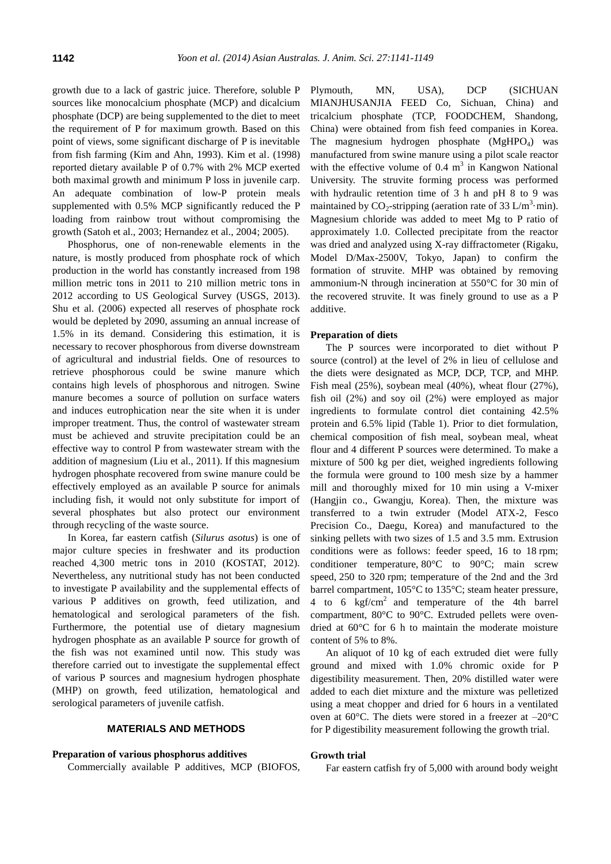growth due to a lack of gastric juice. Therefore, soluble P sources like monocalcium phosphate (MCP) and dicalcium phosphate (DCP) are being supplemented to the diet to meet the requirement of P for maximum growth. Based on this point of views, some significant discharge of P is inevitable from fish farming (Kim and Ahn, 1993). Kim et al. (1998) reported dietary available P of 0.7% with 2% MCP exerted both maximal growth and minimum P loss in juvenile carp. An adequate combination of low-P protein meals supplemented with 0.5% MCP significantly reduced the P loading from rainbow trout without compromising the growth (Satoh et al., 2003; Hernandez et al., 2004; 2005).

Phosphorus, one of non-renewable elements in the nature, is mostly produced from phosphate rock of which production in the world has constantly increased from 198 million metric tons in 2011 to 210 million metric tons in 2012 according to US Geological Survey (USGS, 2013). Shu et al. (2006) expected all reserves of phosphate rock would be depleted by 2090, assuming an annual increase of 1.5% in its demand. Considering this estimation, it is necessary to recover phosphorous from diverse downstream of agricultural and industrial fields. One of resources to retrieve phosphorous could be swine manure which contains high levels of phosphorous and nitrogen. Swine manure becomes a source of pollution on surface waters and induces eutrophication near the site when it is under improper treatment. Thus, the control of wastewater stream must be achieved and struvite precipitation could be an effective way to control P from wastewater stream with the addition of magnesium (Liu et al., 2011). If this magnesium hydrogen phosphate recovered from swine manure could be effectively employed as an available P source for animals including fish, it would not only substitute for import of several phosphates but also protect our environment through recycling of the waste source.

In Korea, far eastern catfish (*Silurus asotus*) is one of major culture species in freshwater and its production reached 4,300 metric tons in 2010 (KOSTAT, 2012). Nevertheless, any nutritional study has not been conducted to investigate P availability and the supplemental effects of various P additives on growth, feed utilization, and hematological and serological parameters of the fish. Furthermore, the potential use of dietary magnesium hydrogen phosphate as an available P source for growth of the fish was not examined until now. This study was therefore carried out to investigate the supplemental effect of various P sources and magnesium hydrogen phosphate (MHP) on growth, feed utilization, hematological and serological parameters of juvenile catfish.

## **MATERIALS AND METHODS**

## **Preparation of various phosphorus additives**

Commercially available P additives, MCP (BIOFOS,

Plymouth, MN, USA), DCP (SICHUAN MIANJHUSANJIA FEED Co, Sichuan, China) and tricalcium phosphate (TCP, FOODCHEM, Shandong, China) were obtained from fish feed companies in Korea. The magnesium hydrogen phosphate  $(MgHPO<sub>4</sub>)$  was manufactured from swine manure using a pilot scale reactor with the effective volume of  $0.4 \text{ m}^3$  in Kangwon National University. The struvite forming process was performed with hydraulic retention time of 3 h and pH 8 to 9 was maintained by  $CO_2$ -stripping (aeration rate of 33 L/m<sup>3</sup>·min). Magnesium chloride was added to meet Mg to P ratio of approximately 1.0. Collected precipitate from the reactor was dried and analyzed using X-ray diffractometer (Rigaku, Model D/Max-2500V, Tokyo, Japan) to confirm the formation of struvite. MHP was obtained by removing ammonium-N through incineration at 550°C for 30 min of the recovered struvite. It was finely ground to use as a P additive.

#### **Preparation of diets**

The P sources were incorporated to diet without P source (control) at the level of 2% in lieu of cellulose and the diets were designated as MCP, DCP, TCP, and MHP. Fish meal (25%), soybean meal (40%), wheat flour (27%), fish oil (2%) and soy oil (2%) were employed as major ingredients to formulate control diet containing 42.5% protein and 6.5% lipid (Table 1). Prior to diet formulation, chemical composition of fish meal, soybean meal, wheat flour and 4 different P sources were determined. To make a mixture of 500 kg per diet, weighed ingredients following the formula were ground to 100 mesh size by a hammer mill and thoroughly mixed for 10 min using a V-mixer (Hangjin co., Gwangju, Korea). Then, the mixture was transferred to a twin extruder (Model ATX-2, Fesco Precision Co., Daegu, Korea) and manufactured to the sinking pellets with two sizes of 1.5 and 3.5 mm. Extrusion conditions were as follows: feeder speed, 16 to 18 rpm; conditioner temperature, 80°C to 90°C; main screw speed, 250 to 320 rpm; temperature of the 2nd and the 3rd barrel compartment, 105°C to 135°C; steam heater pressure, 4 to 6  $\text{kgf/cm}^2$  and temperature of the 4th barrel compartment, 80°C to 90°C. Extruded pellets were ovendried at 60°C for 6 h to maintain the moderate moisture content of 5% to 8%.

An aliquot of 10 kg of each extruded diet were fully ground and mixed with 1.0% chromic oxide for P digestibility measurement. Then, 20% distilled water were added to each diet mixture and the mixture was pelletized using a meat chopper and dried for 6 hours in a ventilated oven at 60 $^{\circ}$ C. The diets were stored in a freezer at  $-20^{\circ}$ C for P digestibility measurement following the growth trial.

#### **Growth trial**

Far eastern catfish fry of 5,000 with around body weight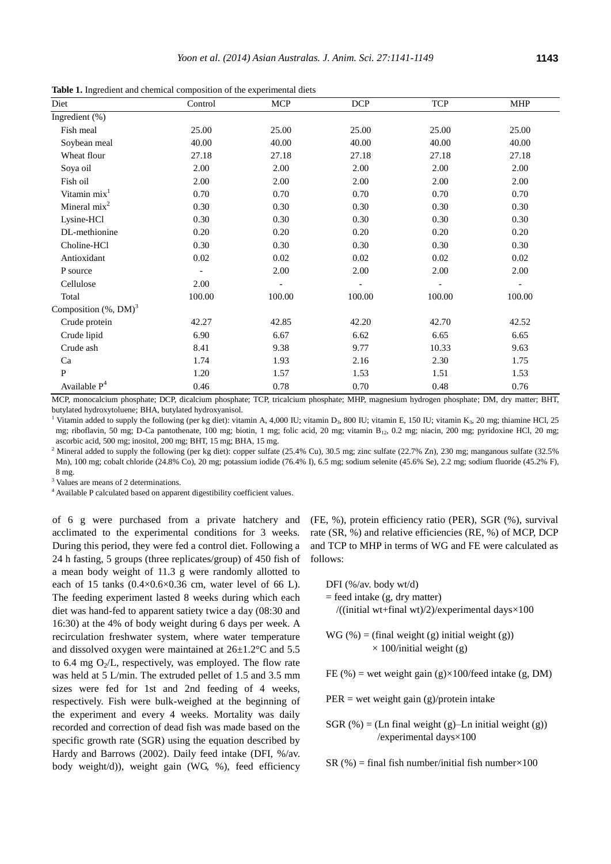**Table 1.** Ingredient and chemical composition of the experimental diets

| Diet                         | Control | <b>MCP</b> | <b>DCP</b> | <b>TCP</b> | <b>MHP</b> |
|------------------------------|---------|------------|------------|------------|------------|
| Ingredient (%)               |         |            |            |            |            |
| Fish meal                    | 25.00   | 25.00      | 25.00      | 25.00      | 25.00      |
| Soybean meal                 | 40.00   | 40.00      | 40.00      | 40.00      | 40.00      |
| Wheat flour                  | 27.18   | 27.18      | 27.18      | 27.18      | 27.18      |
| Soya oil                     | 2.00    | 2.00       | 2.00       | 2.00       | 2.00       |
| Fish oil                     | 2.00    | 2.00       | 2.00       | 2.00       | 2.00       |
| Vitamin mix <sup>1</sup>     | 0.70    | 0.70       | 0.70       | 0.70       | 0.70       |
| Mineral $mix^2$              | 0.30    | 0.30       | 0.30       | 0.30       | 0.30       |
| Lysine-HCl                   | 0.30    | 0.30       | 0.30       | 0.30       | 0.30       |
| DL-methionine                | 0.20    | 0.20       | 0.20       | 0.20       | 0.20       |
| Choline-HCl                  | 0.30    | 0.30       | 0.30       | 0.30       | 0.30       |
| Antioxidant                  | 0.02    | 0.02       | 0.02       | 0.02       | 0.02       |
| P source                     |         | 2.00       | 2.00       | 2.00       | 2.00       |
| Cellulose                    | 2.00    |            |            |            | ÷,         |
| Total                        | 100.00  | 100.00     | 100.00     | 100.00     | 100.00     |
| Composition $(\%$ , DM $)^3$ |         |            |            |            |            |
| Crude protein                | 42.27   | 42.85      | 42.20      | 42.70      | 42.52      |
| Crude lipid                  | 6.90    | 6.67       | 6.62       | 6.65       | 6.65       |
| Crude ash                    | 8.41    | 9.38       | 9.77       | 10.33      | 9.63       |
| Ca                           | 1.74    | 1.93       | 2.16       | 2.30       | 1.75       |
| ${\bf P}$                    | 1.20    | 1.57       | 1.53       | 1.51       | 1.53       |
| Available $P4$               | 0.46    | 0.78       | 0.70       | 0.48       | 0.76       |

MCP, monocalcium phosphate; DCP, dicalcium phosphate; TCP, tricalcium phosphate; MHP, magnesium hydrogen phosphate; DM, dry matter; BHT, butylated hydroxytoluene; BHA, butylated hydroxyanisol.

<sup>1</sup> Vitamin added to supply the following (per kg diet): vitamin A, 4,000 IU; vitamin D<sub>3</sub>, 800 IU; vitamin E, 150 IU; vitamin K<sub>3</sub>, 20 mg; thiamine HCl, 25 mg; riboflavin, 50 mg; D-Ca pantothenate, 100 mg; biotin, 1 mg; folic acid, 20 mg; vitamin B<sub>12</sub>, 0.2 mg; niacin, 200 mg; pyridoxine HCl, 20 mg; ascorbic acid, 500 mg; inositol, 200 mg; BHT, 15 mg; BHA, 15 mg.

<sup>2</sup> Mineral added to supply the following (per kg diet): copper sulfate (25.4% Cu), 30.5 mg; zinc sulfate (22.7% Zn), 230 mg; manganous sulfate (32.5% Mn), 100 mg; cobalt chloride (24.8% Co), 20 mg; potassium iodide (76.4% I), 6.5 mg; sodium selenite (45.6% Se), 2.2 mg; sodium fluoride (45.2% F), 8 mg.

<sup>3</sup> Values are means of 2 determinations.

<sup>4</sup> Available P calculated based on apparent digestibility coefficient values.

of 6 g were purchased from a private hatchery and acclimated to the experimental conditions for 3 weeks. During this period, they were fed a control diet. Following a 24 h fasting, 5 groups (three replicates/group) of 450 fish of a mean body weight of 11.3 g were randomly allotted to each of 15 tanks  $(0.4 \times 0.6 \times 0.36$  cm, water level of 66 L). The feeding experiment lasted 8 weeks during which each diet was hand-fed to apparent satiety twice a day (08:30 and 16:30) at the 4% of body weight during 6 days per week. A recirculation freshwater system, where water temperature and dissolved oxygen were maintained at 26±1.2°C and 5.5 to 6.4 mg  $O_2/L$ , respectively, was employed. The flow rate was held at 5 L/min. The extruded pellet of 1.5 and 3.5 mm sizes were fed for 1st and 2nd feeding of 4 weeks, respectively. Fish were bulk-weighed at the beginning of the experiment and every 4 weeks. Mortality was daily recorded and correction of dead fish was made based on the specific growth rate (SGR) using the equation described by Hardy and Barrows (2002). Daily feed intake (DFI, %/av. body weight/d)), weight gain (WG, %), feed efficiency

(FE, %), protein efficiency ratio (PER), SGR (%), survival rate (SR, %) and relative efficiencies (RE, %) of MCP, DCP and TCP to MHP in terms of WG and FE were calculated as follows:

$$
DFI (\% / av. body wt/d)
$$
  
= feed intake (g, dry matter)  
}/((initial wt+final wt)/2)/experimental days×100

 $WG (\%) = (final weight (g) initial weight (g))$  $\times$  100/initial weight (g)

FE (%) = wet weight gain (g) $\times$ 100/feed intake (g, DM)

 $PER = wet weight gain (g)/protein intake$ 

 $SGR$  (%) = (Ln final weight (g)–Ln initial weight (g)) /experimental days×100

SR (%) = final fish number/initial fish number $\times 100$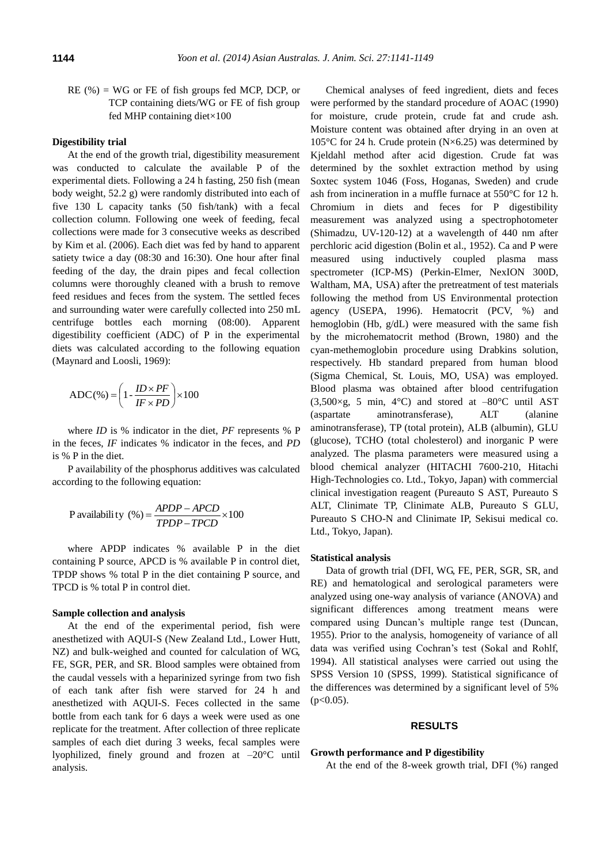RE (%) = WG or FE of fish groups fed MCP, DCP, or TCP containing diets/WG or FE of fish group fed MHP containing diet×100

#### **Digestibility trial**

At the end of the growth trial, digestibility measurement was conducted to calculate the available P of the experimental diets. Following a 24 h fasting, 250 fish (mean body weight, 52.2 g) were randomly distributed into each of five 130 L capacity tanks (50 fish/tank) with a fecal collection column. Following one week of feeding, fecal collections were made for 3 consecutive weeks as described by Kim et al. (2006). Each diet was fed by hand to apparent satiety twice a day (08:30 and 16:30). One hour after final feeding of the day, the drain pipes and fecal collection columns were thoroughly cleaned with a brush to remove feed residues and feces from the system. The settled feces and surrounding water were carefully collected into 250 mL centrifuge bottles each morning (08:00). Apparent digestibility coefficient (ADC) of P in the experimental diets was calculated according to the following equation (Maynard and Loosli, 1969):

$$
ADC(\%)=\left(1-\frac{ID\times PF}{IF\times PD}\right)\times100
$$

where *ID* is % indicator in the diet, *PF* represents % P in the feces, *IF* indicates % indicator in the feces, and *PD* is % P in the diet.

P availability of the phosphorus additives was calculated according to the following equation:

P availability (
$$
\% = \frac{APDP - APCD}{TPDP - TPCD} \times 100
$$

where APDP indicates % available P in the diet containing P source, APCD is % available P in control diet, TPDP shows % total P in the diet containing P source, and TPCD is % total P in control diet.

# **Sample collection and analysis**

At the end of the experimental period, fish were anesthetized with AQUI-S (New Zealand Ltd., Lower Hutt, NZ) and bulk-weighed and counted for calculation of WG, FE, SGR, PER, and SR. Blood samples were obtained from the caudal vessels with a heparinized syringe from two fish of each tank after fish were starved for 24 h and anesthetized with AQUI-S. Feces collected in the same bottle from each tank for 6 days a week were used as one replicate for the treatment. After collection of three replicate samples of each diet during 3 weeks, fecal samples were lyophilized, finely ground and frozen at –20°C until analysis.

Chemical analyses of feed ingredient, diets and feces were performed by the standard procedure of AOAC (1990) for moisture, crude protein, crude fat and crude ash. Moisture content was obtained after drying in an oven at 105°C for 24 h. Crude protein (N×6.25) was determined by Kjeldahl method after acid digestion. Crude fat was determined by the soxhlet extraction method by using Soxtec system 1046 (Foss, Hoganas, Sweden) and crude ash from incineration in a muffle furnace at 550°C for 12 h. Chromium in diets and feces for P digestibility measurement was analyzed using a spectrophotometer (Shimadzu, UV-120-12) at a wavelength of 440 nm after perchloric acid digestion (Bolin et al., 1952). Ca and P were measured using inductively coupled plasma mass spectrometer (ICP-MS) (Perkin-Elmer, NexION 300D, Waltham, MA, USA) after the pretreatment of test materials following the method from US Environmental protection agency (USEPA, 1996). Hematocrit (PCV, %) and hemoglobin (Hb, g/dL) were measured with the same fish by the microhematocrit method (Brown, 1980) and the cyan-methemoglobin procedure using Drabkins solution, respectively. Hb standard prepared from human blood (Sigma Chemical, St. Louis, MO, USA) was employed. Blood plasma was obtained after blood centrifugation  $(3,500 \times g, 5 \text{ min}, 4^{\circ}\text{C})$  and stored at  $-80^{\circ}\text{C}$  until AST (aspartate aminotransferase), ALT (alanine aminotransferase), TP (total protein), ALB (albumin), GLU (glucose), TCHO (total cholesterol) and inorganic P were analyzed. The plasma parameters were measured using a blood chemical analyzer (HITACHI 7600-210, Hitachi High-Technologies co. Ltd., Tokyo, Japan) with commercial clinical investigation reagent (Pureauto S AST, Pureauto S ALT, Clinimate TP, Clinimate ALB, Pureauto S GLU, Pureauto S CHO-N and Clinimate IP, Sekisui medical co. Ltd., Tokyo, Japan).

#### **Statistical analysis**

Data of growth trial (DFI, WG, FE, PER, SGR, SR, and RE) and hematological and serological parameters were analyzed using one-way analysis of variance (ANOVA) and significant differences among treatment means were compared using Duncan's multiple range test (Duncan, 1955). Prior to the analysis, homogeneity of variance of all data was verified using Cochran's test (Sokal and Rohlf, 1994). All statistical analyses were carried out using the SPSS Version 10 (SPSS, 1999). Statistical significance of the differences was determined by a significant level of 5%  $(p<0.05)$ .

#### **RESULTS**

# **Growth performance and P digestibility**

At the end of the 8-week growth trial, DFI (%) ranged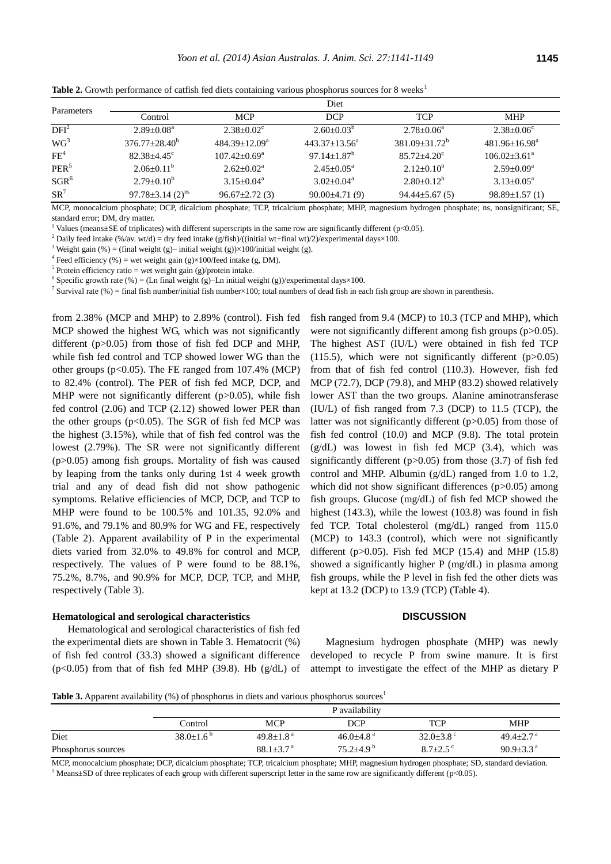| Parameters       |                                    | Diet                |                               |                         |                          |  |  |  |
|------------------|------------------------------------|---------------------|-------------------------------|-------------------------|--------------------------|--|--|--|
|                  | Control                            | <b>MCP</b>          | <b>DCP</b>                    | <b>TCP</b>              | <b>MHP</b>               |  |  |  |
| DFI <sup>2</sup> | $2.89 + 0.08^a$                    | $2.38 + 0.02^c$     | $2.60+0.03^b$                 | $2.78 \pm 0.06^{\rm a}$ | $2.38 + 0.06^{\circ}$    |  |  |  |
| WG <sup>3</sup>  | $376.77 + 28.40^b$                 | $484.39+12.09^a$    | $443.37+13.56^a$              | $381.09 + 31.72^b$      | $481.96 + 16.98^a$       |  |  |  |
| FE <sup>4</sup>  | $82.38 \pm 4.45$ <sup>c</sup>      | $107.42 + 0.69^a$   | $97.14 \pm 1.87$ <sup>b</sup> | $85.72 + 4.20^{\circ}$  | $106.02 + 3.61^a$        |  |  |  |
| PER <sup>5</sup> | $2.06 \pm 0.11^b$                  | $2.62+0.02^a$       | $2.45+0.05^{\rm a}$           | $2.12 \pm 0.10^b$       | $2.59+0.09^a$            |  |  |  |
| $SGR^6$          | $2.79 \pm 0.10^b$                  | $3.15+0.04^a$       | $3.02+0.04^a$                 | $2.80 \pm 0.12^b$       | $3.13 + 0.05^{\text{a}}$ |  |  |  |
| $SR^7$           | $97.78 \pm 3.14$ (2) <sup>ns</sup> | $96.67 \pm 2.72(3)$ | $90.00 \pm 4.71(9)$           | $94.44 \pm 5.67(5)$     | $98.89 \pm 1.57(1)$      |  |  |  |

**Table 2.** Growth performance of catfish fed diets containing various phosphorus sources for 8 weeks<sup>1</sup>

MCP, monocalcium phosphate; DCP, dicalcium phosphate; TCP, tricalcium phosphate; MHP, magnesium hydrogen phosphate; ns, nonsignificant; SE, standard error; DM, dry matter.

<sup>1</sup> Values (means±SE of triplicates) with different superscripts in the same row are significantly different (p<0.05).

<sup>2</sup> Daily feed intake (%/av. wt/d) = dry feed intake (g/fish)/((initial wt+final wt)/2)/experimental days×100.

<sup>3</sup> Weight gain (%) = (final weight (g)– initial weight (g))×100/initial weight (g).

<sup>4</sup> Feed efficiency (%) = wet weight gain (g) $\times$ 100/feed intake (g, DM).

<sup>5</sup> Protein efficiency ratio = wet weight gain (g)/protein intake.

<sup>6</sup> Specific growth rate  $%$  = (Ln final weight (g)–Ln initial weight (g))/experimental days×100.

<sup>7</sup> Survival rate (%) = final fish number/initial fish number×100; total numbers of dead fish in each fish group are shown in parenthesis.

from 2.38% (MCP and MHP) to 2.89% (control). Fish fed MCP showed the highest WG, which was not significantly different (p>0.05) from those of fish fed DCP and MHP, while fish fed control and TCP showed lower WG than the other groups (p<0.05). The FE ranged from 107.4% (MCP) to 82.4% (control). The PER of fish fed MCP, DCP, and MHP were not significantly different (p>0.05), while fish fed control (2.06) and TCP (2.12) showed lower PER than the other groups ( $p<0.05$ ). The SGR of fish fed MCP was the highest (3.15%), while that of fish fed control was the lowest (2.79%). The SR were not significantly different (p>0.05) among fish groups. Mortality of fish was caused by leaping from the tanks only during 1st 4 week growth trial and any of dead fish did not show pathogenic symptoms. Relative efficiencies of MCP, DCP, and TCP to MHP were found to be 100.5% and 101.35, 92.0% and 91.6%, and 79.1% and 80.9% for WG and FE, respectively (Table 2). Apparent availability of P in the experimental diets varied from 32.0% to 49.8% for control and MCP, respectively. The values of P were found to be 88.1%, 75.2%, 8.7%, and 90.9% for MCP, DCP, TCP, and MHP, respectively (Table 3).

### **Hematological and serological characteristics**

Hematological and serological characteristics of fish fed the experimental diets are shown in Table 3. Hematocrit (%) of fish fed control (33.3) showed a significant difference ( $p<0.05$ ) from that of fish fed MHP (39.8). Hb ( $g/dL$ ) of fish ranged from 9.4 (MCP) to 10.3 (TCP and MHP), which were not significantly different among fish groups (p>0.05). The highest AST (IU/L) were obtained in fish fed TCP  $(115.5)$ , which were not significantly different  $(p>0.05)$ from that of fish fed control (110.3). However, fish fed MCP (72.7), DCP (79.8), and MHP (83.2) showed relatively lower AST than the two groups. Alanine aminotransferase (IU/L) of fish ranged from 7.3 (DCP) to 11.5 (TCP), the latter was not significantly different (p>0.05) from those of fish fed control (10.0) and MCP (9.8). The total protein (g/dL) was lowest in fish fed MCP (3.4), which was significantly different ( $p > 0.05$ ) from those (3.7) of fish fed control and MHP. Albumin (g/dL) ranged from 1.0 to 1.2, which did not show significant differences (p>0.05) among fish groups. Glucose (mg/dL) of fish fed MCP showed the highest (143.3), while the lowest (103.8) was found in fish fed TCP. Total cholesterol (mg/dL) ranged from 115.0 (MCP) to 143.3 (control), which were not significantly different (p $>0.05$ ). Fish fed MCP (15.4) and MHP (15.8) showed a significantly higher P (mg/dL) in plasma among fish groups, while the P level in fish fed the other diets was kept at 13.2 (DCP) to 13.9 (TCP) (Table 4).

### **DISCUSSION**

Magnesium hydrogen phosphate (MHP) was newly developed to recycle P from swine manure. It is first attempt to investigate the effect of the MHP as dietary P

**Table 3.** Apparent availability (%) of phosphorus in diets and various phosphorus sources<sup>1</sup>

|                    | P availability     |                           |                             |                          |                             |  |
|--------------------|--------------------|---------------------------|-----------------------------|--------------------------|-----------------------------|--|
|                    | Control            | <b>MCP</b>                | DCP                         | <b>TCP</b>               | <b>MHP</b>                  |  |
| Diet               | $38.0+1.6^{\circ}$ | $49.8 + 1.8$ <sup>a</sup> | $46.0 \pm 4.8$ <sup>a</sup> | $32.0 \pm 3.8$ °         | $49.4+2.7a$                 |  |
| Phosphorus sources |                    | $88.1 + 3.7$ <sup>a</sup> | $75.2 + 4.9^b$              | $8.7 + 2.5$ <sup>c</sup> | $90.9 \pm 3.3$ <sup>a</sup> |  |

MCP, monocalcium phosphate; DCP, dicalcium phosphate; TCP, tricalcium phosphate; MHP, magnesium hydrogen phosphate; SD, standard deviation. <sup>1</sup> Means±SD of three replicates of each group with different superscript letter in the same row are significantly different (p<0.05).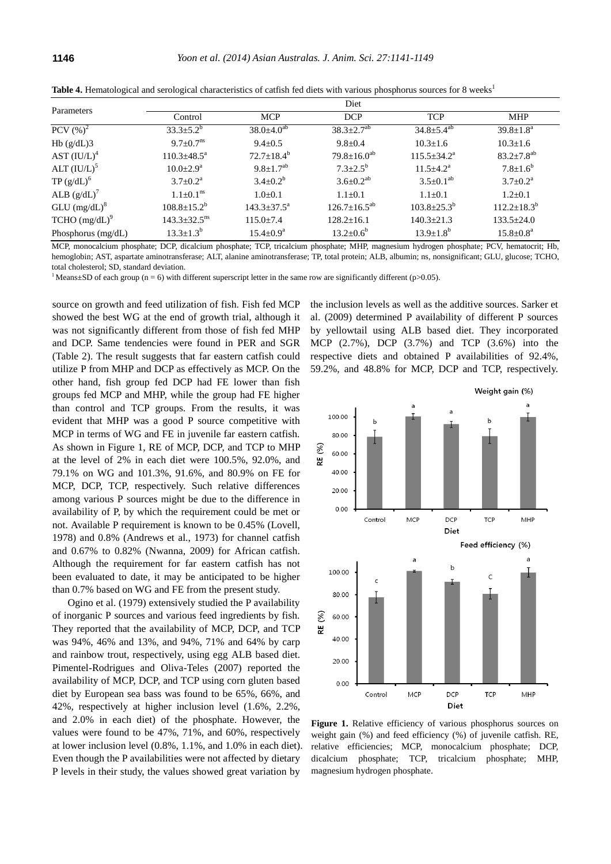| Parameters                 | Diet                         |                        |                      |                             |                              |
|----------------------------|------------------------------|------------------------|----------------------|-----------------------------|------------------------------|
|                            | Control                      | <b>MCP</b>             | <b>DCP</b>           | <b>TCP</b>                  | <b>MHP</b>                   |
| PCV $(\%)^2$               | $33.3 \pm 5.2^b$             | $38.0 \pm 4.0^{ab}$    | $38.3 \pm 2.7^{ab}$  | $34.8 \pm 5.4^{ab}$         | $39.8 \pm 1.8^{\rm a}$       |
| Hb $(g/dL)3$               | $9.7+0.7^{\text{ns}}$        | $9.4 + 0.5$            | $9.8 \pm 0.4$        | $10.3 + 1.6$                | $10.3 + 1.6$                 |
| AST $(IU/L)^4$             | $110.3 + 48.5^{\circ}$       | $72.7+18.4^b$          | $79.8 \pm 16.0^{ab}$ | $115.5 \pm 34.2^{\circ}$    | $83.2 \pm 7.8$ <sup>ab</sup> |
| ALT $(IU/L)^5$             | $10.0 \pm 2.9^{\rm a}$       | $9.8 + 1.7^{ab}$       | $7.3 + 2.5^b$        | $11.5 \pm 4.2^{\mathrm{a}}$ | $7.8 + 1.6^b$                |
| TP $(g/dL)^6$              | $3.7+0.2^a$                  | $3.4 + 0.2^b$          | $3.6 \pm 0.2^{ab}$   | $3.5 \pm 0.1^{ab}$          | $3.7+0.2^a$                  |
| ALB $(g/dL)$ <sup>'</sup>  | $1.1+0.1^{\text{ns}}$        | $1.0+0.1$              | $1.1 + 0.1$          | $1.1 + 0.1$                 | $1.2+0.1$                    |
| $GLU$ (mg/dL) <sup>8</sup> | $108.8 + 15.2^b$             | $143.3 + 37.5^{\circ}$ | $126.7+16.5^{ab}$    | $103.8 \pm 25.3^{\circ}$    | $112.2+18.3^b$               |
| $TCHO (mg/dL)^9$           | $143.3 + 32.5$ <sup>ns</sup> | $115.0 + 7.4$          | $128.2 + 16.1$       | $140.3 + 21.3$              | $133.5+24.0$                 |
| Phosphorus $(mg/dL)$       | $13.3 \pm 1.3^b$             | $15.4 \pm 0.9^{\rm a}$ | $13.2 \pm 0.6^b$     | $13.9 + 1.8^{b}$            | $15.8 \pm 0.8^{\text{a}}$    |

Table 4. Hematological and serological characteristics of catfish fed diets with various phosphorus sources for 8 weeks<sup>1</sup>

MCP, monocalcium phosphate; DCP, dicalcium phosphate; TCP, tricalcium phosphate; MHP, magnesium hydrogen phosphate; PCV, hematocrit; Hb, hemoglobin; AST, aspartate aminotransferase; ALT, alanine aminotransferase; TP, total protein; ALB, albumin; ns, nonsignificant; GLU, glucose; TCHO, total cholesterol; SD, standard deviation.

<sup>1</sup> Means±SD of each group (n = 6) with different superscript letter in the same row are significantly different (p>0.05).

source on growth and feed utilization of fish. Fish fed MCP showed the best WG at the end of growth trial, although it was not significantly different from those of fish fed MHP and DCP. Same tendencies were found in PER and SGR (Table 2). The result suggests that far eastern catfish could utilize P from MHP and DCP as effectively as MCP. On the other hand, fish group fed DCP had FE lower than fish groups fed MCP and MHP, while the group had FE higher than control and TCP groups. From the results, it was evident that MHP was a good P source competitive with MCP in terms of WG and FE in juvenile far eastern catfish. As shown in Figure 1, RE of MCP, DCP, and TCP to MHP at the level of 2% in each diet were 100.5%, 92.0%, and 79.1% on WG and 101.3%, 91.6%, and 80.9% on FE for MCP, DCP, TCP, respectively. Such relative differences among various P sources might be due to the difference in availability of P, by which the requirement could be met or not. Available P requirement is known to be 0.45% (Lovell, 1978) and 0.8% (Andrews et al., 1973) for channel catfish and 0.67% to 0.82% (Nwanna, 2009) for African catfish. Although the requirement for far eastern catfish has not been evaluated to date, it may be anticipated to be higher than 0.7% based on WG and FE from the present study.

Ogino et al. (1979) extensively studied the P availability of inorganic P sources and various feed ingredients by fish. They reported that the availability of MCP, DCP, and TCP was 94%, 46% and 13%, and 94%, 71% and 64% by carp and rainbow trout, respectively, using egg ALB based diet. Pimentel-Rodrigues and Oliva-Teles (2007) reported the availability of MCP, DCP, and TCP using corn gluten based diet by European sea bass was found to be 65%, 66%, and 42%, respectively at higher inclusion level (1.6%, 2.2%, and 2.0% in each diet) of the phosphate. However, the values were found to be 47%, 71%, and 60%, respectively at lower inclusion level (0.8%, 1.1%, and 1.0% in each diet). Even though the P availabilities were not affected by dietary P levels in their study, the values showed great variation by

the inclusion levels as well as the additive sources. Sarker et al. (2009) determined P availability of different P sources by yellowtail using ALB based diet. They incorporated MCP (2.7%), DCP (3.7%) and TCP (3.6%) into the respective diets and obtained P availabilities of 92.4%, 59.2%, and 48.8% for MCP, DCP and TCP, respectively.



**Figure 1.** Relative efficiency of various phosphorus sources on weight gain (%) and feed efficiency (%) of juvenile catfish. RE, relative efficiencies; MCP, monocalcium phosphate; DCP, dicalcium phosphate; TCP, tricalcium phosphate; MHP, magnesium hydrogen phosphate.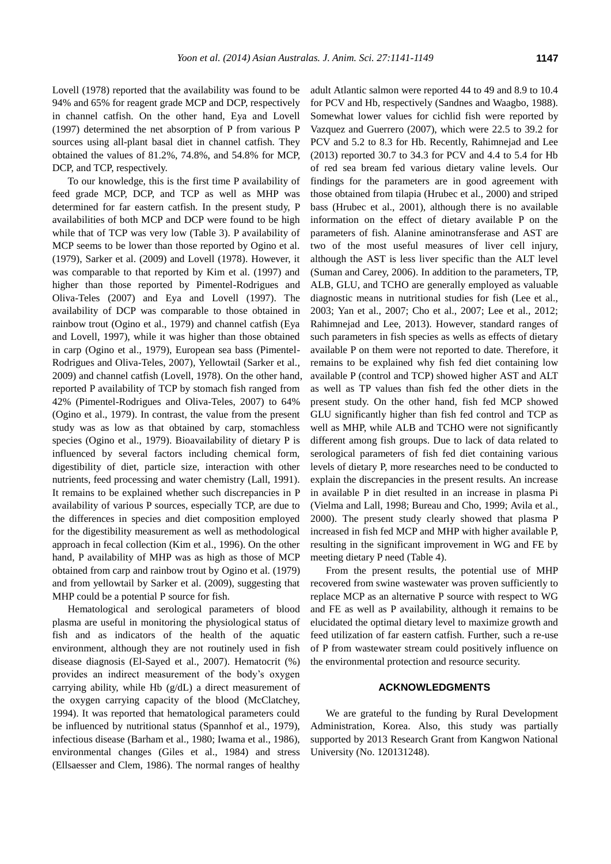Lovell (1978) reported that the availability was found to be 94% and 65% for reagent grade MCP and DCP, respectively in channel catfish. On the other hand, Eya and Lovell (1997) determined the net absorption of P from various P sources using all-plant basal diet in channel catfish. They obtained the values of 81.2%, 74.8%, and 54.8% for MCP, DCP, and TCP, respectively.

To our knowledge, this is the first time P availability of feed grade MCP, DCP, and TCP as well as MHP was determined for far eastern catfish. In the present study, P availabilities of both MCP and DCP were found to be high while that of TCP was very low (Table 3). P availability of MCP seems to be lower than those reported by Ogino et al. (1979), Sarker et al. (2009) and Lovell (1978). However, it was comparable to that reported by Kim et al. (1997) and higher than those reported by Pimentel-Rodrigues and Oliva-Teles (2007) and Eya and Lovell (1997). The availability of DCP was comparable to those obtained in rainbow trout (Ogino et al., 1979) and channel catfish (Eya and Lovell, 1997), while it was higher than those obtained in carp (Ogino et al., 1979), European sea bass (Pimentel-Rodrigues and Oliva-Teles, 2007), Yellowtail (Sarker et al., 2009) and channel catfish (Lovell, 1978). On the other hand, reported P availability of TCP by stomach fish ranged from 42% (Pimentel-Rodrigues and Oliva-Teles, 2007) to 64% (Ogino et al., 1979). In contrast, the value from the present study was as low as that obtained by carp, stomachless species (Ogino et al., 1979). Bioavailability of dietary P is influenced by several factors including chemical form, digestibility of diet, particle size, interaction with other nutrients, feed processing and water chemistry (Lall, 1991). It remains to be explained whether such discrepancies in P availability of various P sources, especially TCP, are due to the differences in species and diet composition employed for the digestibility measurement as well as methodological approach in fecal collection (Kim et al., 1996). On the other hand, P availability of MHP was as high as those of MCP obtained from carp and rainbow trout by Ogino et al. (1979) and from yellowtail by Sarker et al. (2009), suggesting that MHP could be a potential P source for fish.

Hematological and serological parameters of blood plasma are useful in monitoring the physiological status of fish and as indicators of the health of the aquatic environment, although they are not routinely used in fish disease diagnosis (El-Sayed et al., 2007). Hematocrit (%) provides an indirect measurement of the body's oxygen carrying ability, while Hb (g/dL) a direct measurement of the oxygen carrying capacity of the blood (McClatchey, 1994). It was reported that hematological parameters could be influenced by nutritional status (Spannhof et al., 1979), infectious disease (Barham et al., 1980; Iwama et al., 1986), environmental changes (Giles et al., 1984) and stress (Ellsaesser and Clem, 1986). The normal ranges of healthy

adult Atlantic salmon were reported 44 to 49 and 8.9 to 10.4 for PCV and Hb, respectively (Sandnes and Waagbo, 1988). Somewhat lower values for cichlid fish were reported by Vazquez and Guerrero (2007), which were 22.5 to 39.2 for PCV and 5.2 to 8.3 for Hb. Recently, Rahimnejad and Lee (2013) reported 30.7 to 34.3 for PCV and 4.4 to 5.4 for Hb of red sea bream fed various dietary valine levels. Our findings for the parameters are in good agreement with those obtained from tilapia (Hrubec et al., 2000) and striped bass (Hrubec et al., 2001), although there is no available information on the effect of dietary available P on the parameters of fish. Alanine aminotransferase and AST are two of the most useful measures of liver cell injury, although the AST is less liver specific than the ALT level (Suman and Carey, 2006). In addition to the parameters, TP, ALB, GLU, and TCHO are generally employed as valuable diagnostic means in nutritional studies for fish (Lee et al., 2003; Yan et al., 2007; Cho et al., 2007; Lee et al., 2012; Rahimnejad and Lee, 2013). However, standard ranges of such parameters in fish species as wells as effects of dietary available P on them were not reported to date. Therefore, it remains to be explained why fish fed diet containing low available P (control and TCP) showed higher AST and ALT as well as TP values than fish fed the other diets in the present study. On the other hand, fish fed MCP showed GLU significantly higher than fish fed control and TCP as well as MHP, while ALB and TCHO were not significantly different among fish groups. Due to lack of data related to serological parameters of fish fed diet containing various levels of dietary P, more researches need to be conducted to explain the discrepancies in the present results. An increase in available P in diet resulted in an increase in plasma Pi (Vielma and Lall, 1998; Bureau and Cho, 1999; Avila et al., 2000). The present study clearly showed that plasma P increased in fish fed MCP and MHP with higher available P, resulting in the significant improvement in WG and FE by meeting dietary P need (Table 4).

From the present results, the potential use of MHP recovered from swine wastewater was proven sufficiently to replace MCP as an alternative P source with respect to WG and FE as well as P availability, although it remains to be elucidated the optimal dietary level to maximize growth and feed utilization of far eastern catfish. Further, such a re-use of P from wastewater stream could positively influence on the environmental protection and resource security.

#### **ACKNOWLEDGMENTS**

We are grateful to the funding by Rural Development Administration, Korea. Also, this study was partially supported by 2013 Research Grant from Kangwon National University (No. 120131248).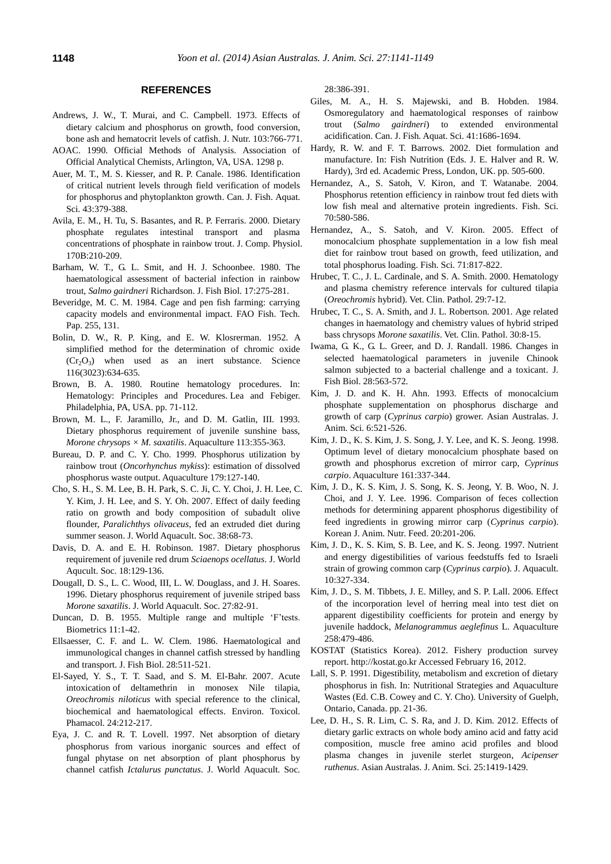#### **REFERENCES**

- Andrews, J. W., T. Murai, and C. Campbell. 1973. [Effects of](http://jn.nutrition.org/content/103/5/766.short)  [dietary calcium and phosphorus on growth, food conversion,](http://jn.nutrition.org/content/103/5/766.short)  [bone ash and hematocrit levels of catfish.](http://jn.nutrition.org/content/103/5/766.short) J. Nutr. 103:766-771.
- AOAC. 1990. Official Methods of Analysis. Association of Official Analytical Chemists, Arlington, VA, USA. 1298 p.
- Auer, M. T., M. S. Kiesser, and R. P. Canale. 1986. [Identification](http://www.nrcresearchpress.com/doi/abs/10.1139/f86-048#.U3wEB_l_sb8)  [of critical nutrient levels through field verification of models](http://www.nrcresearchpress.com/doi/abs/10.1139/f86-048#.U3wEB_l_sb8)  [for phosphorus and phytoplankton growth.](http://www.nrcresearchpress.com/doi/abs/10.1139/f86-048#.U3wEB_l_sb8) Can. J. Fish. Aquat. Sci. 43:379-388.
- Avila, E. M., H. Tu, S. Basantes, and R. P. Ferraris. 2000. [Dietary](http://link.springer.com/article/10.1007/s003600050276)  [phosphate regulates intestinal transport and plasma](http://link.springer.com/article/10.1007/s003600050276)  [concentrations of phosphate in rainbow trout.](http://link.springer.com/article/10.1007/s003600050276) J. Comp. Physiol. 170B:210-209.
- Barham, W. T., G. L. Smit, and H. J. Schoonbee. 1980. [The](http://onlinelibrary.wiley.com/doi/10.1111/j.1095-8649.1980.tb02761.x/abstract)  [haematological assessment of bacterial infection in rainbow](http://onlinelibrary.wiley.com/doi/10.1111/j.1095-8649.1980.tb02761.x/abstract)  trout, *[Salmo gairdneri](http://onlinelibrary.wiley.com/doi/10.1111/j.1095-8649.1980.tb02761.x/abstract)* Richardson. J. Fish Biol. 17:275-281.
- Beveridge, M. C. M. 1984. Cage and pen fish farming: carrying capacity models and environmental impact. FAO Fish. Tech. Pap. 255, 131.
- Bolin, D. W., R. P. King, and E. W. Klosrerman. 1952. [A](http://www.sciencemag.org/content/116/3023/634.short)  [simplified method for the determination of chromic oxide](http://www.sciencemag.org/content/116/3023/634.short)   $(Cr<sub>2</sub>O<sub>3</sub>)$  when used as an inert substance. Science 116(3023):634-635.
- Brown, B. A. 1980. Routine hematology procedures. In: Hematology: Principles and Procedures. Lea and Febiger. Philadelphia, PA, USA. pp. 71-112.
- Brown, M. L., F. Jaramillo, Jr., and D. M. Gatlin, III. 1993. Dietary phosphorus requirement of juvenile sunshine bass, *Morone chrysops × M. saxatilis*. Aquaculture 113:355-363.
- Bureau, D. P. and C. Y. Cho. 1999. [Phosphorus utilization by](http://www.sciencedirect.com/science/article/pii/S004484869900157X)  rainbow trout (*Oncorhynchus mykiss*[\): estimation of dissolved](http://www.sciencedirect.com/science/article/pii/S004484869900157X)  [phosphorus waste output.](http://www.sciencedirect.com/science/article/pii/S004484869900157X) Aquaculture 179:127-140.
- Cho, S. H., S. M. Lee, B. H. Park, S. C. Ji, C. Y. Choi, J. H. Lee, C. Y. Kim, J. H. Lee, and S. Y. Oh. 200[7. Effect of daily feeding](http://onlinelibrary.wiley.com/doi/10.1111/j.1749-7345.2006.00074.x/abstract?deniedAccessCustomisedMessage=&userIsAuthenticated=false)  [ratio on growth and body composition of subadult olive](http://onlinelibrary.wiley.com/doi/10.1111/j.1749-7345.2006.00074.x/abstract?deniedAccessCustomisedMessage=&userIsAuthenticated=false)  flounder, *Paralichthys olivaceus*[, fed an extruded diet during](http://onlinelibrary.wiley.com/doi/10.1111/j.1749-7345.2006.00074.x/abstract?deniedAccessCustomisedMessage=&userIsAuthenticated=false)  [summer season.](http://onlinelibrary.wiley.com/doi/10.1111/j.1749-7345.2006.00074.x/abstract?deniedAccessCustomisedMessage=&userIsAuthenticated=false) J. World Aquacult. Soc. 38:68-73.
- Davis, D. A. and E. H. Robinson. 1987. [Dietary phosphorus](http://onlinelibrary.wiley.com/doi/10.1111/j.1749-7345.1987.tb00431.x/abstract)  [requirement of juvenile red drum](http://onlinelibrary.wiley.com/doi/10.1111/j.1749-7345.1987.tb00431.x/abstract) *Sciaenops ocellatus*. J. World Aqucult. Soc. 18:129-136.
- Dougall, D. S., L. C. Wood, III, L. W. Douglass, and J. H. Soares. 199[6. Dietary phosphorus requirement of juvenile striped bass](http://onlinelibrary.wiley.com/doi/10.1111/j.1749-7345.1996.tb00597.x/abstract)  *[Morone saxatilis](http://onlinelibrary.wiley.com/doi/10.1111/j.1749-7345.1996.tb00597.x/abstract)*. J. World Aquacult. Soc. 27:82-91.
- Duncan, D. B. 1955. Multiple range and multiple 'F'tests. Biometrics 11:1-42.
- Ellsaesser, C. F. and L. W. Clem. 1986. [Haematological and](http://onlinelibrary.wiley.com/doi/10.1111/j.1095-8649.1986.tb05187.x/abstract)  [immunological changes in channel catfish stressed by handling](http://onlinelibrary.wiley.com/doi/10.1111/j.1095-8649.1986.tb05187.x/abstract)  [and transport.](http://onlinelibrary.wiley.com/doi/10.1111/j.1095-8649.1986.tb05187.x/abstract) J. Fish Biol. 28:511-521.
- El-Sayed, Y. S., T. T. Saad, and S. M. El-Bahr. 2007. [Acute](http://www.sciencedirect.com/science/article/pii/S1382668907000762)  intoxication [of deltamethrin in monosex Nile tilapia,](http://www.sciencedirect.com/science/article/pii/S1382668907000762)  *Oreochromis niloticus* [with special reference to the clinical,](http://www.sciencedirect.com/science/article/pii/S1382668907000762)  biochemical [and haematological effects.](http://www.sciencedirect.com/science/article/pii/S1382668907000762) Environ. Toxicol. Phamacol. 24:212-217.
- Eya, J. C. and R. T. Lovell. 1997. [Net absorption of dietary](http://onlinelibrary.wiley.com/doi/10.1111/j.1749-7345.1997.tb00285.x/abstract)  [phosphorus from various inorganic sources and effect of](http://onlinelibrary.wiley.com/doi/10.1111/j.1749-7345.1997.tb00285.x/abstract)  [fungal phytase on net absorption of plant phosphorus by](http://onlinelibrary.wiley.com/doi/10.1111/j.1749-7345.1997.tb00285.x/abstract)  channel catfish *[Ictalurus punctatus](http://onlinelibrary.wiley.com/doi/10.1111/j.1749-7345.1997.tb00285.x/abstract)*. J. World Aquacult. Soc.

28:386-391.

- Giles, M. A., H. S. Majewski, and B. Hobden. 1984. [Osmoregulatory and haematological responses of rainbow](http://www.nrcresearchpress.com/doi/abs/10.1139/f84-207#.U3wR3vl_uqE)  trout (*Salmo gairdneri*[\) to extended environmental](http://www.nrcresearchpress.com/doi/abs/10.1139/f84-207#.U3wR3vl_uqE)  [acidification.](http://www.nrcresearchpress.com/doi/abs/10.1139/f84-207#.U3wR3vl_uqE) Can. J. Fish. Aquat. Sci. 41:1686-1694.
- Hardy, R. W. and F. T. Barrows. 2002. Diet formulation and manufacture. In: Fish Nutrition (Eds. J. E. Halver and R. W. Hardy), 3rd ed. Academic Press, London, UK. pp. 505-600.
- Hernandez, A., S. Satoh, V. Kiron, and T. Watanabe. 2004. [Phosphorus retention efficiency in rainbow trout fed diets with](http://onlinelibrary.wiley.com/doi/10.1111/j.1444-2906.2004.00844.x/abstract?deniedAccessCustomisedMessage=&userIsAuthenticated=false)  [low fish meal and alternative protein ingredients.](http://onlinelibrary.wiley.com/doi/10.1111/j.1444-2906.2004.00844.x/abstract?deniedAccessCustomisedMessage=&userIsAuthenticated=false) Fish. Sci. 70:580-586.
- Hernandez, A., S. Satoh, and V. Kiron. 2005. [Effect of](http://onlinelibrary.wiley.com/doi/10.1111/j.1444-2906.2005.01032.x/abstract?deniedAccessCustomisedMessage=&userIsAuthenticated=false)  [monocalcium phosphate supplementation in a low fish meal](http://onlinelibrary.wiley.com/doi/10.1111/j.1444-2906.2005.01032.x/abstract?deniedAccessCustomisedMessage=&userIsAuthenticated=false)  [diet for rainbow trout based on growth, feed utilization, and](http://onlinelibrary.wiley.com/doi/10.1111/j.1444-2906.2005.01032.x/abstract?deniedAccessCustomisedMessage=&userIsAuthenticated=false)  [total phosphorus loading.](http://onlinelibrary.wiley.com/doi/10.1111/j.1444-2906.2005.01032.x/abstract?deniedAccessCustomisedMessage=&userIsAuthenticated=false) Fish. Sci. 71:817-822.
- Hrubec, T. C., J. L. Cardinale, and S. A. Smith. 2000. [Hematology](http://onlinelibrary.wiley.com/doi/10.1111/j.1939-165X.2000.tb00389.x/abstract?deniedAccessCustomisedMessage=&userIsAuthenticated=false)  [and plasma chemistry reference intervals for cultured tilapia](http://onlinelibrary.wiley.com/doi/10.1111/j.1939-165X.2000.tb00389.x/abstract?deniedAccessCustomisedMessage=&userIsAuthenticated=false)  (*[Oreochromis](http://onlinelibrary.wiley.com/doi/10.1111/j.1939-165X.2000.tb00389.x/abstract?deniedAccessCustomisedMessage=&userIsAuthenticated=false)* hybrid). Vet. Clin. Pathol. 29:7-12.
- Hrubec, T. C., S. A. Smith, and J. L. Robertson. 2001. [Age related](http://onlinelibrary.wiley.com/doi/10.1111/j.1939-165X.2001.tb00249.x/abstract?deniedAccessCustomisedMessage=&userIsAuthenticated=false)  [changes in haematology and chemistry values of hybrid striped](http://onlinelibrary.wiley.com/doi/10.1111/j.1939-165X.2001.tb00249.x/abstract?deniedAccessCustomisedMessage=&userIsAuthenticated=false)  bass chrysops *[Morone saxatilis](http://onlinelibrary.wiley.com/doi/10.1111/j.1939-165X.2001.tb00249.x/abstract?deniedAccessCustomisedMessage=&userIsAuthenticated=false)*. Vet. Clin. Pathol. 30:8-15.
- Iwama, G. K., G. L. Greer, and D. J. Randall. 1986. [Changes in](http://onlinelibrary.wiley.com/doi/10.1111/j.1095-8649.1986.tb05193.x/abstract)  [selected haematological parameters in juvenile Chinook](http://onlinelibrary.wiley.com/doi/10.1111/j.1095-8649.1986.tb05193.x/abstract)  [salmon subjected to a bacterial challenge and a toxicant.](http://onlinelibrary.wiley.com/doi/10.1111/j.1095-8649.1986.tb05193.x/abstract) J. Fish Biol. 28:563-572.
- Kim, J. D. and K. H. Ahn. 1993. [Effects of monocalcium](http://www.ajas.info/journal/view.php?number=18840)  [phosphate supplementation on phosphorus discharge and](http://www.ajas.info/journal/view.php?number=18840)  [growth of carp \(](http://www.ajas.info/journal/view.php?number=18840)*Cyprinus carpio*) grower. Asian Australas. J. Anim. Sci. 6:521-526.
- Kim, J. D., K. S. Kim, J. S. Song, J. Y. Lee, and K. S. Jeong. 1998. [Optimum level of dietary monocalcium phosphate based on](http://www.sciencedirect.com/science/article/pii/S0044848697002810)  growth and phosphorus [excretion of mirror carp,](http://www.sciencedirect.com/science/article/pii/S0044848697002810) *Cyprinus [carpio](http://www.sciencedirect.com/science/article/pii/S0044848697002810)*. Aquaculture 161:337-344.
- Kim, J. D., K. S. Kim, J. S. Song, K. S. Jeong, Y. B. Woo, N. J. Choi, and J. Y. Lee. 1996. Comparison of feces collection methods for determining apparent phosphorus digestibility of feed ingredients in growing mirror carp (*Cyprinus carpio*). Korean J. Anim. Nutr. Feed. 20:201-206.
- Kim, J. D., K. S. Kim, S. B. Lee, and K. S. Jeong. 1997. Nutrient and energy digestibilities of various feedstuffs fed to Israeli strain of growing common carp (*Cyprinus carpio*). J. Aquacult. 10:327-334.
- Kim, J. D., S. M. Tibbets, J. E. Milley, and S. P. Lall. 2006. [Effect](http://www.sciencedirect.com/science/article/pii/S0044848606002523)  [of the incorporation level of herring meal into test diet](http://www.sciencedirect.com/science/article/pii/S0044848606002523) on [apparent digestibility coefficients for protein and energy by](http://www.sciencedirect.com/science/article/pii/S0044848606002523)  juvenile haddock, *[Melanogrammus aeglefinus](http://www.sciencedirect.com/science/article/pii/S0044848606002523)* L. Aquaculture 258:479-486.
- KOSTAT (Statistics Korea). 2012. Fishery production survey report. http://kostat.go.kr Accessed February 16, 2012.
- Lall, S. P. 1991. Digestibility, metabolism and excretion of dietary phosphorus in fish. In: Nutritional Strategies and Aquaculture Wastes (Ed. C.B. Cowey and C. Y. Cho). University of Guelph, Ontario, Canada. pp. 21-36.
- Lee, D. H., S. R. Lim, C. S. Ra, and J. D. Kim. 2012. [Effects of](http://ajas.info/journal/view.php?number=22827)  [dietary garlic extracts on whole body amino acid and fatty acid](http://ajas.info/journal/view.php?number=22827)  [composition, muscle free amino acid profiles and blood](http://ajas.info/journal/view.php?number=22827)  [plasma changes in juvenile sterlet sturgeon,](http://ajas.info/journal/view.php?number=22827) *Acipenser [ruthenus](http://ajas.info/journal/view.php?number=22827)*. Asian Australas. J. Anim. Sci. 25:1419-1429.